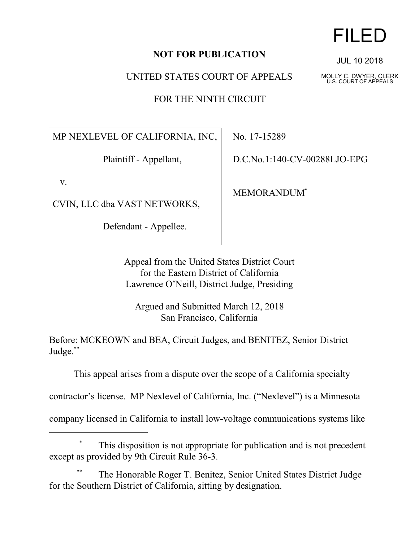## **NOT FOR PUBLICATION**

UNITED STATES COURT OF APPEALS

FOR THE NINTH CIRCUIT

MP NEXLEVEL OF CALIFORNIA, INC,

Plaintiff - Appellant,

v.

CVIN, LLC dba VAST NETWORKS,

Defendant - Appellee.

No. 17-15289

D.C.No.1:140-CV-00288LJO-EPG

MEMORANDUM\*

Appeal from the United States District Court for the Eastern District of California Lawrence O'Neill, District Judge, Presiding

Argued and Submitted March 12, 2018 San Francisco, California

Before: MCKEOWN and BEA, Circuit Judges, and BENITEZ, Senior District Judge. \*\*

This appeal arises from a dispute over the scope of a California specialty

contractor's license. MP Nexlevel of California, Inc. ("Nexlevel") is a Minnesota

company licensed in California to install low-voltage communications systems like

## This disposition is not appropriate for publication and is not precedent except as provided by 9th Circuit Rule 36-3.

The Honorable Roger T. Benitez, Senior United States District Judge for the Southern District of California, sitting by designation.

## FILED

JUL 10 2018

MOLLY C. DWYER, CLERK U.S. COURT OF APPEALS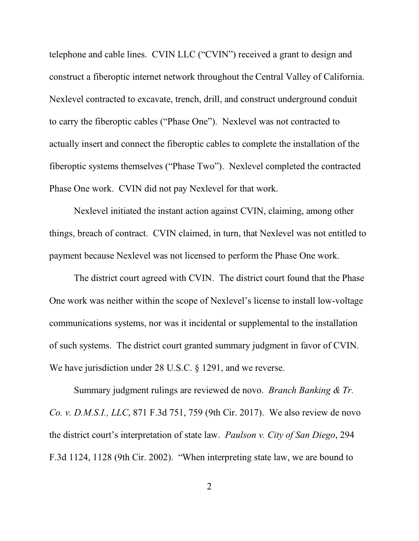telephone and cable lines. CVIN LLC ("CVIN") received a grant to design and construct a fiberoptic internet network throughout the Central Valley of California. Nexlevel contracted to excavate, trench, drill, and construct underground conduit to carry the fiberoptic cables ("Phase One"). Nexlevel was not contracted to actually insert and connect the fiberoptic cables to complete the installation of the fiberoptic systems themselves ("Phase Two"). Nexlevel completed the contracted Phase One work. CVIN did not pay Nexlevel for that work.

Nexlevel initiated the instant action against CVIN, claiming, among other things, breach of contract. CVIN claimed, in turn, that Nexlevel was not entitled to payment because Nexlevel was not licensed to perform the Phase One work.

The district court agreed with CVIN. The district court found that the Phase One work was neither within the scope of Nexlevel's license to install low-voltage communications systems, nor was it incidental or supplemental to the installation of such systems. The district court granted summary judgment in favor of CVIN. We have jurisdiction under 28 U.S.C. § 1291, and we reverse.

Summary judgment rulings are reviewed de novo. *Branch Banking & Tr. Co. v. D.M.S.I., LLC*, 871 F.3d 751, 759 (9th Cir. 2017). We also review de novo the district court's interpretation of state law. *Paulson v. City of San Diego*, 294 F.3d 1124, 1128 (9th Cir. 2002). "When interpreting state law, we are bound to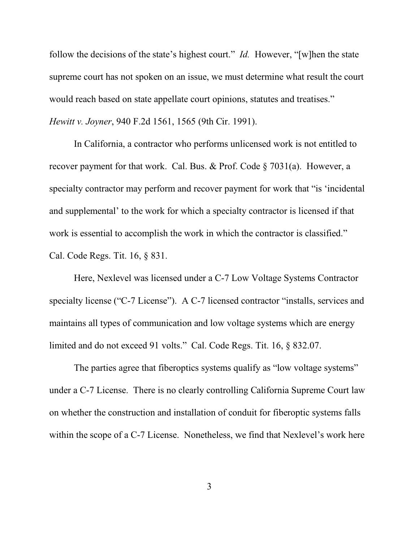follow the decisions of the state's highest court." *Id.* However, "[w]hen the state supreme court has not spoken on an issue, we must determine what result the court would reach based on state appellate court opinions, statutes and treatises." *Hewitt v. Joyner*, 940 F.2d 1561, 1565 (9th Cir. 1991).

In California, a contractor who performs unlicensed work is not entitled to recover payment for that work. Cal. Bus. & Prof. Code § 7031(a). However, a specialty contractor may perform and recover payment for work that "is 'incidental and supplemental' to the work for which a specialty contractor is licensed if that work is essential to accomplish the work in which the contractor is classified." Cal. Code Regs. Tit. 16, § 831.

Here, Nexlevel was licensed under a C-7 Low Voltage Systems Contractor specialty license ("C-7 License"). A C-7 licensed contractor "installs, services and maintains all types of communication and low voltage systems which are energy limited and do not exceed 91 volts." Cal. Code Regs. Tit. 16, § 832.07.

The parties agree that fiberoptics systems qualify as "low voltage systems" under a C-7 License. There is no clearly controlling California Supreme Court law on whether the construction and installation of conduit for fiberoptic systems falls within the scope of a C-7 License. Nonetheless, we find that Nexlevel's work here